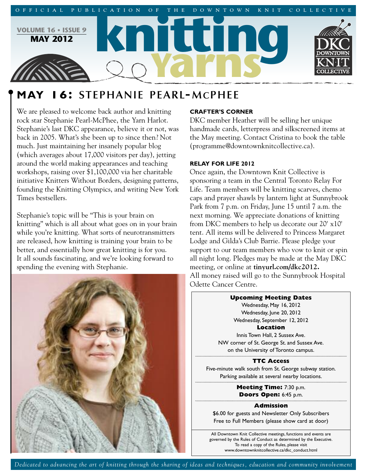

# **MAY 16: STEPHANIE PEARL-MCPHEE**

We are pleased to welcome back author and knitting rock star Stephanie Pearl-McPhee, the Yarn Harlot. Stephanie's last DKC appearance, believe it or not, was back in 2005. What's she been up to since then? Not much. Just maintaining her insanely popular blog (which averages about 17,000 visitors per day), jetting around the world making appearances and teaching workshops, raising over \$1,100,000 via her charitable initiative Knitters Without Borders, designing patterns, founding the Knitting Olympics, and writing New York Times bestsellers.

Stephanie's topic will be "This is your brain on knitting" which is all about what goes on in your brain while you're knitting. What sorts of neurotransmitters are released, how knitting is training your brain to be better, and essentially how great knitting is for you. It all sounds fascinating, and we're looking forward to spending the evening with Stephanie.



# **CRAFTER'S CORNER**

DKC member Heather will be selling her unique handmade cards, letterpress and silkscreened items at the May meeting. Contact Cristina to book the table (programme@downtownknitcollective.ca).

# **RELAY FOR LIFE 2012**

Once again, the Downtown Knit Collective is sponsoring a team in the Central Toronto Relay For Life. Team members will be knitting scarves, chemo caps and prayer shawls by lantern light at Sunnybrook Park from 7 p.m. on Friday, June 15 until 7 a.m. the next morning. We appreciate donations of knitting from DKC members to help us decorate our 20' x10' tent. All items will be delivered to Princess Margaret Lodge and Gilda's Club Barrie. Please pledge your support to our team members who vow to knit or spin all night long. Pledges may be made at the May DKC meeting, or online at **tinyurl.com/dkc2012.** All money raised will go to the Sunnybrook Hospital Odette Cancer Centre.

> **Upcoming Meeting Dates** Wednesday, May 16, 2012 Wednesday, June 20, 2012 Wednesday, September 12, 2012 **Location** Innis Town Hall, 2 Sussex Ave. NW corner of St. George St. and Sussex Ave. on the University of Toronto campus. **TTC Access** Five-minute walk south from St. George subway station.

Parking available at several nearby locations.

**Meeting Time:** 7:30 p.m. **Doors Open:** 6:45 p.m.

### **Admission**

\$6.00 for guests and Newsletter Only Subscribers Free to Full Members (please show card at door)

All Downtown Knit Collective meetings, functions and events are governed by the Rules of Conduct as determined by the Executive. To read a copy of the Rules, please visit www.downtownknitcollective.ca/dkc\_conduct.html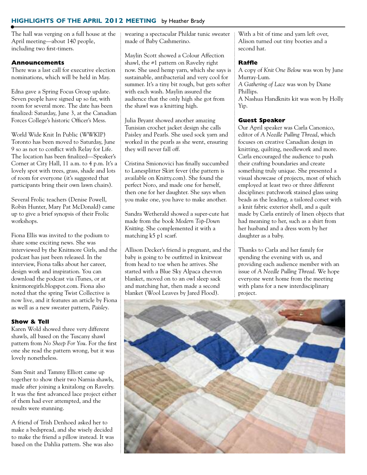# **HIGHLIGHTS OF THE APRIL 2012 MEETING** by Heather Brady

The hall was verging on a full house at the April meeting—about 140 people, including two first-timers.

# **Announcements**

There was a last call for executive election nominations, which will be held in May.

Edna gave a Spring Focus Group update. Seven people have signed up so far, with room for several more. The date has been finalized: Saturday, June 3, at the Canadian Forces College's historic Officer's Mess.

World Wide Knit In Public (WWKIP) Toronto has been moved to Saturday, June 9 so as not to conflict with Relay for Life. The location has been finalized—Speaker's Corner at City Hall, 11 a.m. to 4 p.m. It's a lovely spot with trees, grass, shade and lots of room for everyone (it's suggested that participants bring their own lawn chairs).

Several Frolic teachers (Denise Powell, Robin Hunter, Mary Pat McDonald) came up to give a brief synopsis of their Frolic workshops.

Fiona Ellis was invited to the podium to share some exciting news. She was interviewed by the Knitmore Girls, and the podcast has just been released. In the interview, Fiona talks about her career, design work and inspiration. You can download the podcast via iTunes, or at knitmoregirls.blogspot.com. Fiona also noted that the spring Twist Collective is now live, and it features an article by Fiona as well as a new sweater pattern, *Paisley*.

# **Show & Tell**

Karen Wold showed three very different shawls, all based on the Tuscany shawl pattern from *No Sheep For You*. For the first one she read the pattern wrong, but it was lovely nonetheless.

Sam Smit and Tammy Elliott came up together to show their two Narnia shawls, made after joining a knitalong on Ravelry. It was the first advanced lace project either of them had ever attempted, and the results were stunning.

A friend of Trish Denhoed asked her to make a bedspread, and she wisely decided to make the friend a pillow instead. It was based on the Dahlia pattern. She was also

wearing a spectacular Phildar tunic sweater made of Baby Cashmerino.

Maylin Scott showed a Colour Affection shawl, the #1 pattern on Ravelry right now. She used hemp yarn, which she says is sustainable, antibacterial and very cool for summer. It's a tiny bit rough, but gets softer with each wash. Maylin assured the audience that the only high she got from the shawl was a knitting high.

Julia Bryant showed another amazing Tunisian crochet jacket design she calls Paisley and Pearls. She used sock yarn and worked in the pearls as she went, ensuring they will never fall off.

Cristina Smionovici has finally succumbed to Lanesplitter Skirt fever (the pattern is available on Knitty.com). She found the perfect Noro, and made one for herself, then one for her daughter. She says when you make one, you have to make another.

Sandra Wetherald showed a super-cute hat made from the book *Modern Top-Down Knitting*. She complemented it with a matching k5 p1 scarf.

Allison Decker's friend is pregnant, and the baby is going to be outfitted in knitwear from head to toe when he arrives. She started with a Blue Sky Alpaca chevron blanket, moved on to an owl sleep sack and matching hat, then made a second blanket (Wool Leaves by Jared Flood).

With a bit of time and yarn left over, Alison turned out tiny booties and a second hat.

## **Raffle**

A copy of *Knit One Below* was won by June Murray-Lum. *A Gathering of Lace* was won by Diane

Phillips. A Nashua Handknits kit was won by Holly Yip.

## **Guest Speaker**

Our April speaker was Carla Canonico, editor of *A Needle Pulling Thread*, which focuses on creative Canadian design in knitting, quilting, needlework and more. Carla encouraged the audience to push their crafting boundaries and create something truly unique. She presented a visual showcase of projects, most of which employed at least two or three different disciplines: patchwork stained glass using beads as the leading, a tailored corset with a knit fabric exterior shell, and a quilt made by Carla entirely of linen objects that had meaning to her, such as a shirt from her husband and a dress worn by her daughter as a baby.

Thanks to Carla and her family for spending the evening with us, and providing each audience member with an issue of *A Needle Pulling Thread*. We hope everyone went home from the meeting with plans for a new interdisciplinary project.

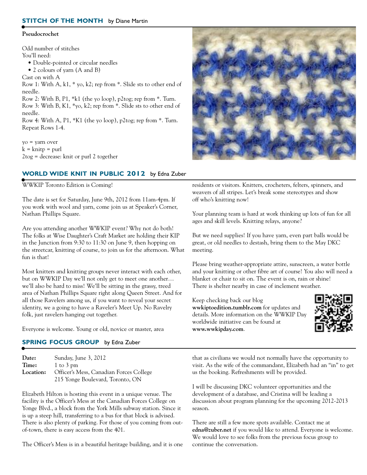#### **STITCH OF THE MONTH** by Diane Martin

#### **Pseudocrochet**

Odd number of stitches You'll need: • Double-pointed or circular needles

• 2 colours of yarn (A and B)

Cast on with A

Row 1: With A, k1, \* yo, k2; rep from \*. Slide sts to other end of needle.

Row 2: With B, P1, \*k1 (the yo loop), p2tog; rep from \*. Turn. Row 3: With B, K1, \*yo, k2; rep from \*. Slide sts to other end of needle.

Row 4: With A, P1, \*K1 (the yo loop), p2tog; rep from \*. Turn. Repeat Rows 1-4.

yo = yarn over  $k =$  knitp = purl 2tog = decrease: knit or purl 2 together

## **WORLD WIDE KNIT IN PUBLIC 2012** by Edna Zuber

# WWKIP Toronto Edition is Coming!

The date is set for Saturday, June 9th, 2012 from 11am-4pm. If you work with wool and yarn, come join us at Speaker's Corner, Nathan Phillips Square.

Are you attending another WWKIP event? Why not do both! The folks at Wise Daughter's Craft Market are holding their KIP in the Junction from 9:30 to 11:30 on June 9, then hopping on the streetcar, knitting of course, to join us for the afternoon. What fun is that!

Most knitters and knitting groups never interact with each other, but on WWKIP Day we'll not only get to meet one another… we'll also be hard to miss! We'll be sitting in the grassy, treed area of Nathan Phillips Square right along Queen Street. And for all those Ravelers among us, if you want to reveal your secret identity, we a going to have a Raveler's Meet Up. No Ravelry folk, just ravelers hanging out together.

Everyone is welcome. Young or old, novice or master, area

## **SPRING FOCUS GROUP** by Edna Zuber

| Date:     | Sunday, June 3, 2012                    |
|-----------|-----------------------------------------|
| Time:     | 1 to 3 pm                               |
| Location: | Officer's Mess, Canadian Forces College |
|           | 215 Yonge Boulevard, Toronto, ON        |

Elizabeth Hilton is hosting this event in a unique venue. The facility is the Officer's Mess at the Canadian Forces College on Yonge Blvd., a block from the York Mills subway station. Since it is up a steep hill, transferring to a bus for that block is advised. There is also plenty of parking. For those of you coming from outof-town, there is easy access from the 401.

The Officer's Mess is in a beautiful heritage building, and it is one



residents or visitors. Knitters, crocheters, felters, spinners, and weavers of all stripes. Let's break some stereotypes and show off who's knitting now!

Your planning team is hard at work thinking up lots of fun for all ages and skill levels. Knitting relays, anyone?

But we need supplies! If you have yarn, even part balls would be great, or old needles to destash, bring them to the May DKC meeting.

Please bring weather-appropriate attire, sunscreen, a water bottle and your knitting or other fibre art of course! You also will need a blanket or chair to sit on. The event is on, rain or shine! There is shelter nearby in case of inclement weather.

Keep checking back our blog **wwkiptoedition.tumblr.com** for updates and details. More information on the WWKIP Day worldwide initiative can be found at **www.wwkipday.com**.



that as civilians we would not normally have the opportunity to visit. As the wife of the commandant, Elizabeth had an "in" to get us the booking. Refreshments will be provided.

I will be discussing DKC volunteer opportunities and the development of a database, and Cristina will be leading a discussion about program planning for the upcoming 2012-2013 season.

There are still a few more spots available. Contact me at **edna@zuber.net** if you would like to attend. Everyone is welcome. We would love to see folks from the previous focus group to continue the conversation.